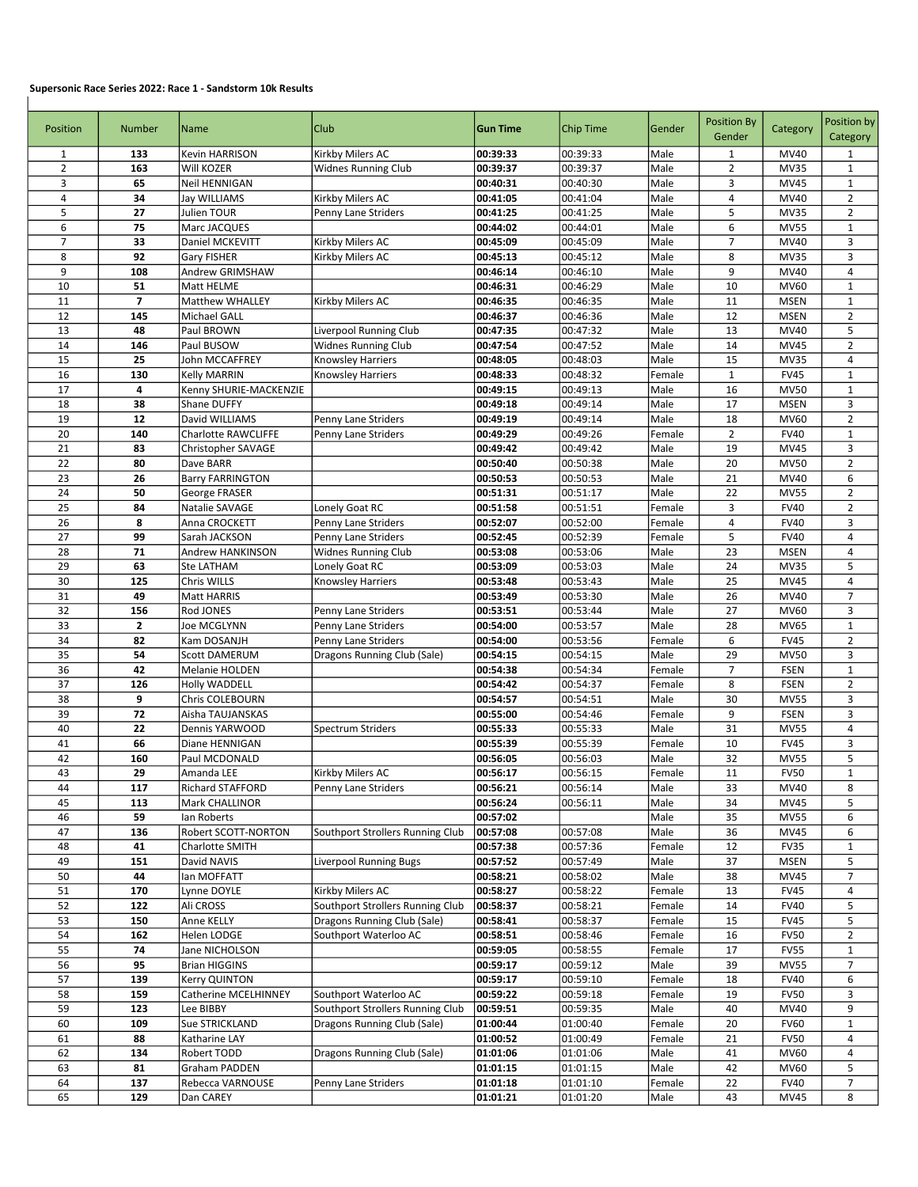## Supersonic Race Series 2022: Race 1 - Sandstorm 10k Results

 $\overline{1}$ 

| Position       | <b>Number</b> | Name                       | <b>Club</b>                      | <b>Gun Time</b>      | Chip Time | Gender | <b>Position By</b><br>Gender | Category    | Position by<br>Category |
|----------------|---------------|----------------------------|----------------------------------|----------------------|-----------|--------|------------------------------|-------------|-------------------------|
| $\mathbf{1}$   | 133           | Kevin HARRISON             | Kirkby Milers AC                 | 00:39:33             | 00:39:33  | Male   | $\mathbf{1}$                 | MV40        | $\mathbf{1}$            |
| $\overline{2}$ | 163           | Will KOZER                 | <b>Widnes Running Club</b>       | 00:39:37             | 00:39:37  | Male   | $\overline{2}$               | <b>MV35</b> | $\mathbf{1}$            |
| 3              | 65            | Neil HENNIGAN              |                                  | 00:40:31             | 00:40:30  | Male   | 3                            | <b>MV45</b> | $\mathbf{1}$            |
| $\overline{4}$ | 34            | Jay WILLIAMS               | Kirkby Milers AC                 | 00:41:05             | 00:41:04  | Male   | 4                            | MV40        | $\overline{2}$          |
| 5              | 27            | Julien TOUR                | Penny Lane Striders              | 00:41:25             | 00:41:25  | Male   | 5                            | <b>MV35</b> | $\overline{2}$          |
| 6              | 75            | Marc JACQUES               |                                  | 00:44:02             | 00:44:01  | Male   | 6                            | <b>MV55</b> | $\mathbf{1}$            |
| $\overline{7}$ | 33            | Daniel MCKEVITT            | Kirkby Milers AC                 | 00:45:09             | 00:45:09  | Male   | $\overline{7}$               | MV40        | 3                       |
| 8              | 92            | Gary FISHER                | Kirkby Milers AC                 | 00:45:13             | 00:45:12  | Male   | 8                            | <b>MV35</b> | 3                       |
| 9              | 108           | Andrew GRIMSHAW            |                                  | 00:46:14             | 00:46:10  | Male   | 9                            | MV40        | 4                       |
| 10             | 51            | Matt HELME                 |                                  | 00:46:31             | 00:46:29  | Male   | 10                           | MV60        | $\mathbf{1}$            |
| 11             | 7             | <b>Matthew WHALLEY</b>     | Kirkby Milers AC                 | 00:46:35             | 00:46:35  | Male   | 11                           | <b>MSEN</b> | $\mathbf 1$             |
| 12             | 145           | Michael GALL               |                                  | 00:46:37             | 00:46:36  | Male   | 12                           | <b>MSEN</b> | $\overline{2}$          |
| 13             | 48            | Paul BROWN                 | Liverpool Running Club           | 00:47:35             | 00:47:32  | Male   | 13                           | MV40        | 5                       |
| 14             | 146           | Paul BUSOW                 | <b>Widnes Running Club</b>       | 00:47:54             | 00:47:52  | Male   | 14                           | MV45        | $\overline{2}$          |
| 15             | 25            | John MCCAFFREY             | <b>Knowsley Harriers</b>         | 00:48:05             | 00:48:03  | Male   | 15                           | <b>MV35</b> | 4                       |
| 16             | 130           | Kelly MARRIN               | <b>Knowsley Harriers</b>         | 00:48:33             | 00:48:32  | Female | $\mathbf{1}$                 | <b>FV45</b> | $\mathbf{1}$            |
| 17             | 4             | Kenny SHURIE-MACKENZIE     |                                  | 00:49:15             | 00:49:13  | Male   | 16                           | <b>MV50</b> | $\mathbf{1}$            |
| 18             | 38            | Shane DUFFY                |                                  | 00:49:18             | 00:49:14  | Male   | 17                           | <b>MSEN</b> | 3                       |
| 19             | 12            | David WILLIAMS             | Penny Lane Striders              | 00:49:19             | 00:49:14  | Male   | 18                           | MV60        | $\overline{2}$          |
| 20             | 140           | <b>Charlotte RAWCLIFFE</b> | Penny Lane Striders              | 00:49:29             | 00:49:26  | Female | $\overline{2}$               | <b>FV40</b> | $\mathbf{1}$            |
| 21             | 83            | Christopher SAVAGE         |                                  | 00:49:42             | 00:49:42  | Male   | 19                           | MV45        | 3                       |
| 22             | 80            | Dave BARR                  |                                  | 00:50:40             | 00:50:38  | Male   | 20                           | <b>MV50</b> | $\overline{2}$          |
| 23             | 26            | <b>Barry FARRINGTON</b>    |                                  | 00:50:53             | 00:50:53  | Male   | 21                           | MV40        | 6                       |
| 24             | 50            | George FRASER              |                                  | 00:51:31             | 00:51:17  | Male   | 22                           | <b>MV55</b> | $\overline{2}$          |
| 25             | 84            | Natalie SAVAGE             | Lonely Goat RC                   | 00:51:58             | 00:51:51  | Female | 3                            | <b>FV40</b> | $\overline{2}$          |
| 26             | 8             |                            |                                  |                      |           |        | $\overline{4}$               | <b>FV40</b> |                         |
|                |               | Anna CROCKETT              | Penny Lane Striders              | 00:52:07             | 00:52:00  | Female |                              |             | 3                       |
| 27             | 99            | Sarah JACKSON              | Penny Lane Striders              | 00:52:45             | 00:52:39  | Female | 5                            | <b>FV40</b> | $\overline{4}$          |
| 28             | 71            | Andrew HANKINSON           | <b>Widnes Running Club</b>       | 00:53:08             | 00:53:06  | Male   | 23                           | <b>MSEN</b> | 4                       |
| 29             | 63            | Ste LATHAM                 | Lonely Goat RC                   | 00:53:09             | 00:53:03  | Male   | 24                           | <b>MV35</b> | 5                       |
| 30             | 125           | Chris WILLS                | <b>Knowsley Harriers</b>         | 00:53:48             | 00:53:43  | Male   | 25                           | MV45        | 4                       |
| 31             | 49            | Matt HARRIS                |                                  | 00:53:49             | 00:53:30  | Male   | 26                           | MV40        | $\overline{7}$          |
| 32             | 156           | Rod JONES                  | Penny Lane Striders              | 00:53:51             | 00:53:44  | Male   | 27                           | MV60        | 3                       |
| 33             | 2             | Joe MCGLYNN                | Penny Lane Striders              | 00:54:00             | 00:53:57  | Male   | 28                           | MV65        | $\mathbf{1}$            |
| 34             | 82            | Kam DOSANJH                | Penny Lane Striders              | 00:54:00             | 00:53:56  | Female | 6                            | <b>FV45</b> | $\overline{2}$          |
| 35             | 54            | <b>Scott DAMERUM</b>       | Dragons Running Club (Sale)      | 00:54:15             | 00:54:15  | Male   | 29                           | <b>MV50</b> | 3                       |
| 36             | 42            | Melanie HOLDEN             |                                  | 00:54:38             | 00:54:34  | Female | 7                            | <b>FSEN</b> | $\mathbf 1$             |
| 37             | 126           | <b>Holly WADDELL</b>       |                                  | 00:54:42             | 00:54:37  | Female | 8                            | <b>FSEN</b> | $\overline{2}$          |
| 38             | 9             | Chris COLEBOURN            |                                  | 00:54:57             | 00:54:51  | Male   | 30                           | <b>MV55</b> | 3                       |
| 39             | 72            | Aisha TAUJANSKAS           |                                  | 00:55:00             | 00:54:46  | Female | 9                            | <b>FSEN</b> | 3                       |
| 40             | 22            | Dennis YARWOOD             | <b>Spectrum Striders</b>         | 00:55:33             | 00:55:33  | Male   | 31                           | <b>MV55</b> | 4                       |
| 41             | 66            | Diane HENNIGAN             |                                  | 00:55:39             | 00:55:39  | Female | 10                           | <b>FV45</b> | 3                       |
| 42             | 160           | Paul MCDONALD              |                                  | 00:56:05             | 00:56:03  | Male   | 32                           | <b>MV55</b> | 5                       |
| 43             | 29            | Amanda LEE                 | Kirkby Milers AC                 | 00:56:17             | 00:56:15  | Female | 11                           | <b>FV50</b> | $\mathbf{1}$            |
| 44             | 117           | Richard STAFFORD           | Penny Lane Striders              | 00:56:21             | 00:56:14  | Male   | 33                           | MV40        | 8                       |
| 45             | 113           | Mark CHALLINOR             |                                  | 00:56:24             | 00:56:11  | Male   | 34                           | MV45        | 5                       |
| 46             | 59            | lan Roberts                |                                  | 00:57:02             |           | Male   | 35                           | <b>MV55</b> | 6                       |
| 47             | 136           | Robert SCOTT-NORTON        | Southport Strollers Running Club | 00:57:08             | 00:57:08  | Male   | 36                           | MV45        | 6                       |
| 48             | 41            | Charlotte SMITH            |                                  | 00:57:38             | 00:57:36  | Female | 12                           | <b>FV35</b> | $\mathbf{1}$            |
| 49             | 151           | David NAVIS                | Liverpool Running Bugs           | 00:57:52             | 00:57:49  | Male   | 37                           | <b>MSEN</b> | 5                       |
| 50             | 44            | lan MOFFATT                |                                  | 00:58:21             | 00:58:02  | Male   | 38                           | MV45        | 7                       |
| 51             | 170           | Lynne DOYLE                | Kirkby Milers AC                 | 00:58:27             | 00:58:22  | Female | 13                           | <b>FV45</b> | 4                       |
| 52             | 122           | Ali CROSS                  | Southport Strollers Running Club | 00:58:37             | 00:58:21  | Female | 14                           | <b>FV40</b> | 5                       |
| 53             | 150           | Anne KELLY                 | Dragons Running Club (Sale)      | 00:58:41             |           | Female |                              | <b>FV45</b> | 5                       |
| 54             |               |                            |                                  |                      | 00:58:37  |        | 15<br>16                     | <b>FV50</b> | $\overline{2}$          |
| 55             | 162<br>74     | Helen LODGE                | Southport Waterloo AC            | 00:58:51<br>00:59:05 | 00:58:46  | Female |                              | <b>FV55</b> | $\mathbf{1}$            |
|                |               | Jane NICHOLSON             |                                  |                      | 00:58:55  | Female | 17                           |             |                         |
| 56             | 95            | <b>Brian HIGGINS</b>       |                                  | 00:59:17             | 00:59:12  | Male   | 39                           | <b>MV55</b> | $\overline{7}$          |
| 57             | 139           | Kerry QUINTON              |                                  | 00:59:17             | 00:59:10  | Female | 18                           | <b>FV40</b> | 6                       |
| 58             | 159           | Catherine MCELHINNEY       | Southport Waterloo AC            | 00:59:22             | 00:59:18  | Female | 19                           | <b>FV50</b> | 3                       |
| 59             | 123           | Lee BIBBY                  | Southport Strollers Running Club | 00:59:51             | 00:59:35  | Male   | 40                           | MV40        | 9                       |
| 60             | 109           | Sue STRICKLAND             | Dragons Running Club (Sale)      | 01:00:44             | 01:00:40  | Female | 20                           | <b>FV60</b> | $\mathbf{1}$            |
| 61             | 88            | Katharine LAY              |                                  | 01:00:52             | 01:00:49  | Female | 21                           | <b>FV50</b> | 4                       |
| 62             | 134           | Robert TODD                | Dragons Running Club (Sale)      | 01:01:06             | 01:01:06  | Male   | 41                           | MV60        | 4                       |
| 63             | 81            | Graham PADDEN              |                                  | 01:01:15             | 01:01:15  | Male   | 42                           | MV60        | 5                       |
| 64             | 137           | Rebecca VARNOUSE           | Penny Lane Striders              | 01:01:18             | 01:01:10  | Female | 22                           | <b>FV40</b> | 7                       |
| 65             | 129           | Dan CAREY                  |                                  | 01:01:21             | 01:01:20  | Male   | 43                           | MV45        | 8                       |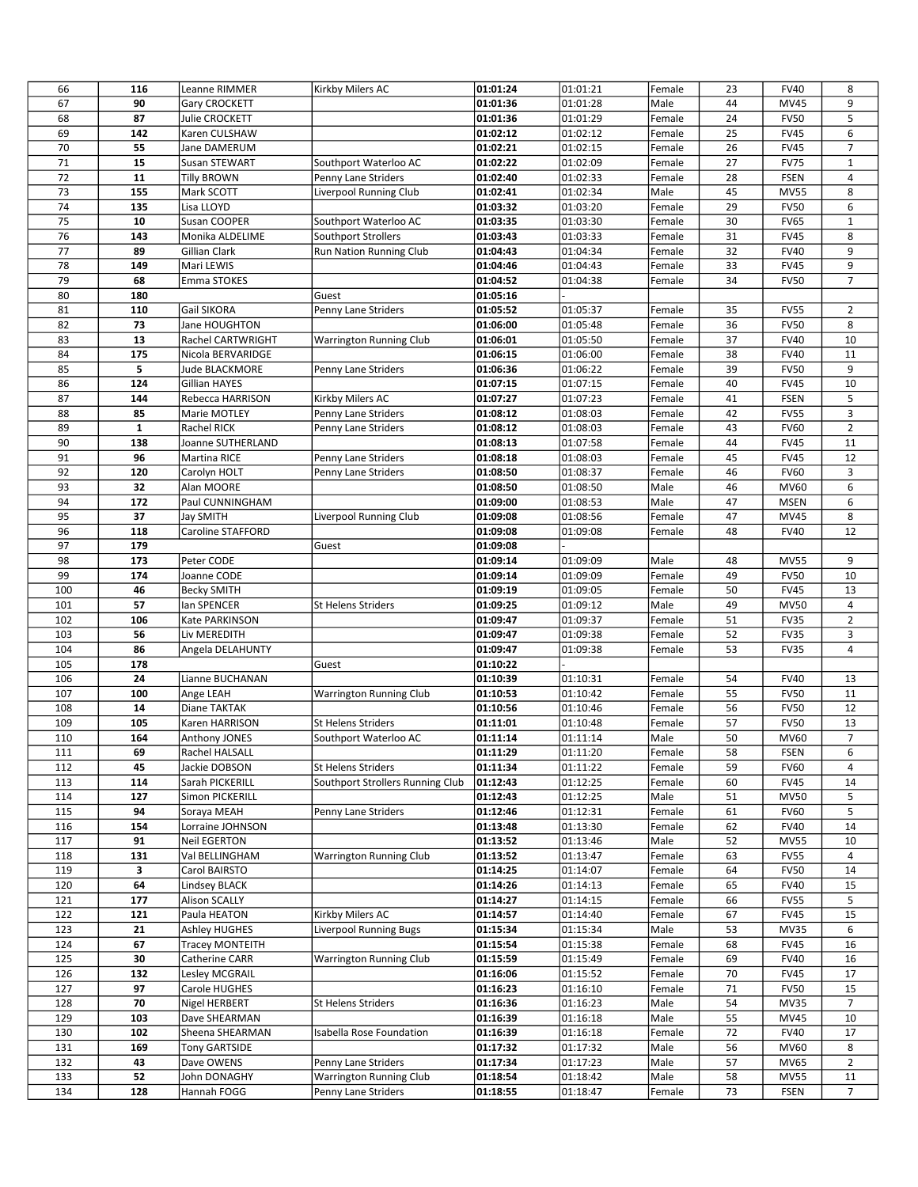| 66       | 116         | Leanne RIMMER                   | Kirkby Milers AC                 | 01:01:24             | 01:01:21             | Female           | 23       | <b>FV40</b>                | 8                       |
|----------|-------------|---------------------------------|----------------------------------|----------------------|----------------------|------------------|----------|----------------------------|-------------------------|
| 67       | 90          | Gary CROCKETT                   |                                  | 01:01:36             | 01:01:28             | Male             | 44       | MV45                       | 9                       |
| 68       | 87          | Julie CROCKETT                  |                                  | 01:01:36             | 01:01:29             | Female           | 24       | <b>FV50</b>                | 5                       |
| 69       | 142         | Karen CULSHAW                   |                                  | 01:02:12             | 01:02:12             | Female           | 25       | <b>FV45</b>                | 6                       |
| 70       | 55          | Jane DAMERUM                    |                                  | 01:02:21             | 01:02:15             | Female           | 26       | <b>FV45</b>                | 7                       |
| 71       | 15          | Susan STEWART                   | Southport Waterloo AC            | 01:02:22             | 01:02:09             | Female           | 27       | <b>FV75</b>                | $\mathbf{1}$            |
| 72       | 11          | Tilly BROWN                     | Penny Lane Striders              | 01:02:40             | 01:02:33             | Female           | 28       | <b>FSEN</b>                | $\overline{\mathbf{4}}$ |
| 73       | 155         | Mark SCOTT                      | Liverpool Running Club           | 01:02:41             | 01:02:34             | Male             | 45       | <b>MV55</b>                | 8                       |
| 74       | 135         | Lisa LLOYD                      |                                  | 01:03:32             | 01:03:20             | Female           | 29       | <b>FV50</b>                | 6                       |
| 75       | 10          | Susan COOPER                    | Southport Waterloo AC            | 01:03:35             | 01:03:30             | Female           | 30       | <b>FV65</b>                | $\mathbf{1}$            |
| 76       | 143         | Monika ALDELIME                 | <b>Southport Strollers</b>       | 01:03:43             | 01:03:33             | Female           | 31       | <b>FV45</b>                | 8                       |
| 77       | 89          | Gillian Clark                   | Run Nation Running Club          | 01:04:43             | 01:04:34             | Female           | 32       | <b>FV40</b>                | 9                       |
| 78       | 149         | Mari LEWIS                      |                                  | 01:04:46             | 01:04:43             | Female           | 33       | <b>FV45</b>                | 9                       |
| 79       | 68          | Emma STOKES                     |                                  | 01:04:52             | 01:04:38             | Female           | 34       | <b>FV50</b>                | $\overline{7}$          |
| 80       | 180         |                                 | Guest                            | 01:05:16             |                      |                  |          |                            |                         |
| 81       | 110         | Gail SIKORA                     | Penny Lane Striders              | 01:05:52             | 01:05:37             | Female           | 35       | <b>FV55</b>                | 2                       |
| 82       | 73<br>13    | Jane HOUGHTON                   |                                  | 01:06:00             | 01:05:48             | Female           | 36       | <b>FV50</b>                | 8                       |
| 83<br>84 | 175         | Rachel CARTWRIGHT               | <b>Warrington Running Club</b>   | 01:06:01             | 01:05:50<br>01:06:00 | Female           | 37<br>38 | <b>FV40</b><br><b>FV40</b> | 10<br>11                |
| 85       | 5           | Nicola BERVARIDGE               |                                  | 01:06:15             | 01:06:22             | Female           | 39       | <b>FV50</b>                | 9                       |
| 86       | 124         | Jude BLACKMORE<br>Gillian HAYES | Penny Lane Striders              | 01:06:36<br>01:07:15 | 01:07:15             | Female<br>Female | 40       | <b>FV45</b>                | 10                      |
| 87       | 144         | Rebecca HARRISON                | Kirkby Milers AC                 | 01:07:27             | 01:07:23             | Female           | 41       | <b>FSEN</b>                | 5                       |
| 88       | 85          | Marie MOTLEY                    | Penny Lane Striders              | 01:08:12             | 01:08:03             | Female           | 42       | <b>FV55</b>                | 3                       |
| 89       | $\mathbf 1$ | <b>Rachel RICK</b>              | Penny Lane Striders              | 01:08:12             | 01:08:03             | Female           | 43       | <b>FV60</b>                | $\overline{2}$          |
| 90       | 138         | Joanne SUTHERLAND               |                                  | 01:08:13             | 01:07:58             | Female           | 44       | <b>FV45</b>                | 11                      |
| 91       | 96          | Martina RICE                    | Penny Lane Striders              | 01:08:18             | 01:08:03             | Female           | 45       | <b>FV45</b>                | 12                      |
| 92       | 120         | Carolyn HOLT                    | Penny Lane Striders              | 01:08:50             | 01:08:37             | Female           | 46       | <b>FV60</b>                | 3                       |
| 93       | 32          | Alan MOORE                      |                                  | 01:08:50             | 01:08:50             | Male             | 46       | MV60                       | 6                       |
| 94       | 172         | Paul CUNNINGHAM                 |                                  | 01:09:00             | 01:08:53             | Male             | 47       | <b>MSEN</b>                | 6                       |
| 95       | 37          | Jay SMITH                       | Liverpool Running Club           | 01:09:08             | 01:08:56             | Female           | 47       | MV45                       | 8                       |
| 96       | 118         | Caroline STAFFORD               |                                  | 01:09:08             | 01:09:08             | Female           | 48       | <b>FV40</b>                | 12                      |
| 97       | 179         |                                 | Guest                            | 01:09:08             |                      |                  |          |                            |                         |
| 98       | 173         | Peter CODE                      |                                  | 01:09:14             | 01:09:09             | Male             | 48       | <b>MV55</b>                | 9                       |
| 99       | 174         | Joanne CODE                     |                                  | 01:09:14             | 01:09:09             | Female           | 49       | <b>FV50</b>                | 10                      |
| 100      | 46          | <b>Becky SMITH</b>              |                                  | 01:09:19             | 01:09:05             | Female           | 50       | <b>FV45</b>                | 13                      |
| 101      | 57          | lan SPENCER                     | <b>St Helens Striders</b>        | 01:09:25             | 01:09:12             | Male             | 49       | <b>MV50</b>                | 4                       |
| 102      | 106         | Kate PARKINSON                  |                                  | 01:09:47             | 01:09:37             | Female           | 51       | <b>FV35</b>                | $\overline{2}$          |
| 103      | 56          | Liv MEREDITH                    |                                  | 01:09:47             | 01:09:38             | Female           | 52       | <b>FV35</b>                | 3                       |
| 104      | 86          | Angela DELAHUNTY                |                                  | 01:09:47             | 01:09:38             | Female           | 53       | <b>FV35</b>                | $\overline{4}$          |
| 105      | 178         |                                 | Guest                            | 01:10:22             |                      |                  |          |                            |                         |
| 106      | 24          | Lianne BUCHANAN                 |                                  | 01:10:39             | 01:10:31             | Female           | 54       | <b>FV40</b>                | 13                      |
| 107      | 100         | Ange LEAH                       | <b>Warrington Running Club</b>   | 01:10:53             | 01:10:42             | Female           | 55       | <b>FV50</b>                | 11                      |
| 108      | 14          | Diane TAKTAK                    |                                  | 01:10:56             | 01:10:46             | Female           | 56       | <b>FV50</b>                | 12                      |
| 109      | 105         | Karen HARRISON                  | St Helens Striders               | 01:11:01             | 01:10:48             | Female           | 57       | <b>FV50</b>                | 13                      |
| 110      | 164         | Anthony JONES                   | Southport Waterloo AC            | 01:11:14             | 01:11:14             | Male             | 50       | MV60                       | $\overline{7}$          |
| 111      | 69          | Rachel HALSALL                  |                                  | 01:11:29             | 01:11:20             | Female           | 58       | FSEN                       | 6                       |
| 112      | 45          | Jackie DOBSON                   | <b>St Helens Striders</b>        | 01:11:34             | 01:11:22             | Female           | 59       | <b>FV60</b>                | 4                       |
| 113      | 114         | Sarah PICKERILL                 | Southport Strollers Running Club | 01:12:43             | 01:12:25             | Female           | 60       | <b>FV45</b>                | 14                      |
| 114      | 127         | Simon PICKERILL                 |                                  | 01:12:43             | 01:12:25             | Male             | 51       | <b>MV50</b>                | 5                       |
| 115      | 94          | Soraya MEAH                     | Penny Lane Striders              | 01:12:46             | 01:12:31             | Female           | 61       | <b>FV60</b>                | 5                       |
| 116      | 154         | Lorraine JOHNSON                |                                  | 01:13:48             | 01:13:30             | Female           | 62       | <b>FV40</b>                | 14                      |
| 117      | 91          | Neil EGERTON                    |                                  | 01:13:52             | 01:13:46             | Male             | 52       | <b>MV55</b>                | 10                      |
| 118      | 131         | Val BELLINGHAM                  | <b>Warrington Running Club</b>   | 01:13:52             | 01:13:47             | Female           | 63       | <b>FV55</b>                | 4                       |
| 119      | 3           | Carol BAIRSTO                   |                                  | 01:14:25             | 01:14:07             | Female           | 64       | <b>FV50</b>                | 14                      |
| 120      | 64          | Lindsey BLACK                   |                                  | 01:14:26             | 01:14:13             | Female           | 65       | <b>FV40</b>                | 15                      |
| 121      | 177         | Alison SCALLY                   |                                  | 01:14:27             | 01:14:15             | Female           | 66       | <b>FV55</b>                | 5                       |
| 122      | 121         | Paula HEATON                    | Kirkby Milers AC                 | 01:14:57             | 01:14:40             | Female           | 67       | <b>FV45</b>                | 15                      |
| 123      | 21          | Ashley HUGHES                   | <b>Liverpool Running Bugs</b>    | 01:15:34             | 01:15:34             | Male             | 53       | <b>MV35</b>                | 6                       |
| 124      | 67          | Tracey MONTEITH                 |                                  | 01:15:54             | 01:15:38             | Female           | 68       | <b>FV45</b>                | 16                      |
| 125      | 30          | Catherine CARR                  | Warrington Running Club          | 01:15:59             | 01:15:49             | Female           | 69       | <b>FV40</b>                | 16                      |
| 126      | 132         | Lesley MCGRAIL                  |                                  | 01:16:06             | 01:15:52             | Female           | 70       | <b>FV45</b>                | 17                      |
| 127      | 97          | Carole HUGHES                   |                                  | 01:16:23             | 01:16:10             | Female           | 71       | <b>FV50</b>                | 15                      |
| 128      | 70          | Nigel HERBERT                   | St Helens Striders               | 01:16:36             | 01:16:23             | Male             | 54       | <b>MV35</b>                | $\overline{7}$          |
| 129      | 103         | Dave SHEARMAN                   |                                  | 01:16:39             | 01:16:18             | Male             | 55       | MV45                       | 10                      |
| 130      | 102         | Sheena SHEARMAN                 | Isabella Rose Foundation         | 01:16:39             | 01:16:18             | Female           | 72       | <b>FV40</b>                | 17                      |
| 131      | 169         | Tony GARTSIDE                   |                                  | 01:17:32             | 01:17:32             | Male             | 56       | MV60                       | 8                       |
| 132      | 43          | Dave OWENS                      | Penny Lane Striders              | 01:17:34             | 01:17:23             | Male             | 57       | MV65                       | $\overline{2}$          |
| 133      | 52          | John DONAGHY                    | Warrington Running Club          | 01:18:54             | 01:18:42             | Male             | 58       | <b>MV55</b>                | 11                      |
| 134      | 128         | Hannah FOGG                     | Penny Lane Striders              | 01:18:55             | 01:18:47             | Female           | 73       | <b>FSEN</b>                | $\overline{7}$          |